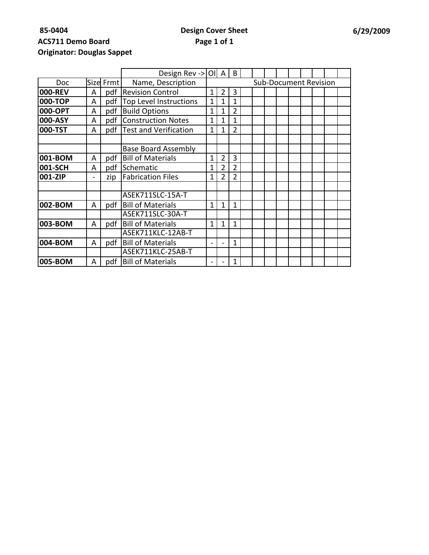| <b>Originator: Douglas Sappet</b> |  |
|-----------------------------------|--|
|                                   |  |

|            |   |           | Design Rev -> $\vert$ OI   A   B |              |                |                |  |                              |  |  |  |  |  |  |  |
|------------|---|-----------|----------------------------------|--------------|----------------|----------------|--|------------------------------|--|--|--|--|--|--|--|
| <b>Doc</b> |   | Size Frmt | Name, Description                |              |                |                |  | <b>Sub-Document Revision</b> |  |  |  |  |  |  |  |
| 000-REV    | A | pdf       | <b>Revision Control</b>          |              | 2              | 3              |  |                              |  |  |  |  |  |  |  |
| 000-TOP    | A | pdf       | <b>Top Level Instructions</b>    | 1            | 1              | $\mathbf{1}$   |  |                              |  |  |  |  |  |  |  |
| 000-OPT    | A | pdf       | <b>Build Options</b>             | 1            | 1              | $\overline{2}$ |  |                              |  |  |  |  |  |  |  |
| 000-ASY    | A | pdf       | <b>Construction Notes</b>        | 1            | 1              | 1              |  |                              |  |  |  |  |  |  |  |
| 000-TST    | A | pdf       | <b>Test and Verification</b>     | 1            | 1              | $\overline{2}$ |  |                              |  |  |  |  |  |  |  |
|            |   |           |                                  |              |                |                |  |                              |  |  |  |  |  |  |  |
|            |   |           | <b>Base Board Assembly</b>       |              |                |                |  |                              |  |  |  |  |  |  |  |
| 001-BOM    | A | pdf       | <b>Bill of Materials</b>         | 1            | $\overline{2}$ | 3              |  |                              |  |  |  |  |  |  |  |
| 001-SCH    | A | pdf       | Schematic                        | 1            | $\overline{2}$ | $\overline{2}$ |  |                              |  |  |  |  |  |  |  |
| 001-ZIP    |   | zip       | <b>Fabrication Files</b>         | 1            | 2              | 2              |  |                              |  |  |  |  |  |  |  |
|            |   |           |                                  |              |                |                |  |                              |  |  |  |  |  |  |  |
|            |   |           | ASEK711SLC-15A-T                 |              |                |                |  |                              |  |  |  |  |  |  |  |
| 002-BOM    | A | pdf I     | <b>Bill of Materials</b>         | 1            | 1              | 1              |  |                              |  |  |  |  |  |  |  |
|            |   |           | ASEK711SLC-30A-T                 |              |                |                |  |                              |  |  |  |  |  |  |  |
| 003-BOM    | A | pdf       | <b>Bill of Materials</b>         | $\mathbf{1}$ | 1              | 1              |  |                              |  |  |  |  |  |  |  |
|            |   |           | ASEK711KLC-12AB-T                |              |                |                |  |                              |  |  |  |  |  |  |  |
| 004-BOM    | A | pdf       | <b>Bill of Materials</b>         |              |                | 1              |  |                              |  |  |  |  |  |  |  |
|            |   |           | ASEK711KLC-25AB-T                |              |                |                |  |                              |  |  |  |  |  |  |  |
| 005-BOM    | A | pdf       | <b>Bill of Materials</b>         |              |                | 1              |  |                              |  |  |  |  |  |  |  |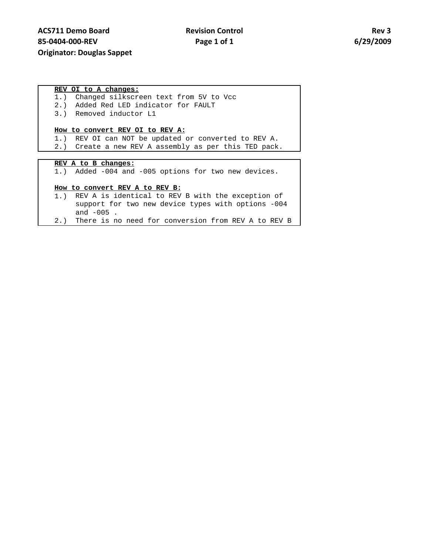### **REV OI to A changes:**

- 1.) Changed silkscreen text from 5V to Vcc
- 2.) Added Red LED indicator for FAULT
- 3.) Removed inductor L1

### **How to convert REV OI to REV A:**

- 1.) REV OI can NOT be updated or converted to REV A.
- 2.) Create a new REV A assembly as per this TED pack.

### **REV A to B changes:**

1.) Added -004 and -005 options for two new devices.

#### **How to convert REV A to REV B:**

- 1.) REV A is identical to REV B with the exception of support for two new device types with options -004 and -005 .
- 2.) There is no need for conversion from REV A to REV B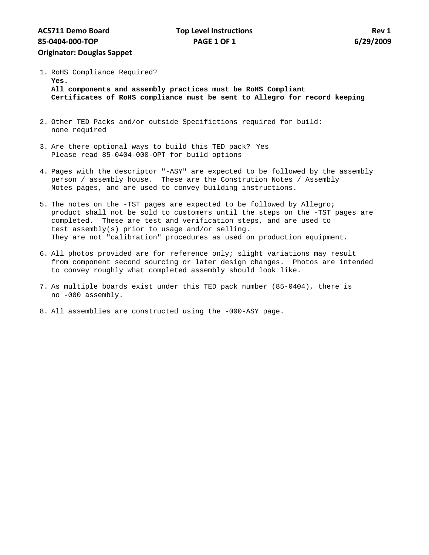1. RoHS Compliance Required? **Yes.** 

**All components and assembly practices must be RoHS Compliant Certificates of RoHS compliance must be sent to Allegro for record keeping** 

- 2. Other TED Packs and/or outside Specifictions required for build: none required
- 3. Are there optional ways to build this TED pack? Yes Please read 85-0404-000-OPT for build options
- 4. Pages with the descriptor "-ASY" are expected to be followed by the assembly person / assembly house. These are the Constrution Notes / Assembly Notes pages, and are used to convey building instructions.
- 5. The notes on the -TST pages are expected to be followed by Allegro; product shall not be sold to customers until the steps on the -TST pages are completed. These are test and verification steps, and are used to test assembly(s) prior to usage and/or selling. They are not "calibration" procedures as used on production equipment.
- 6. All photos provided are for reference only; slight variations may result from component second sourcing or later design changes. Photos are intended to convey roughly what completed assembly should look like.
- 7. As multiple boards exist under this TED pack number (85-0404), there is no -000 assembly.
- 8. All assemblies are constructed using the -000-ASY page.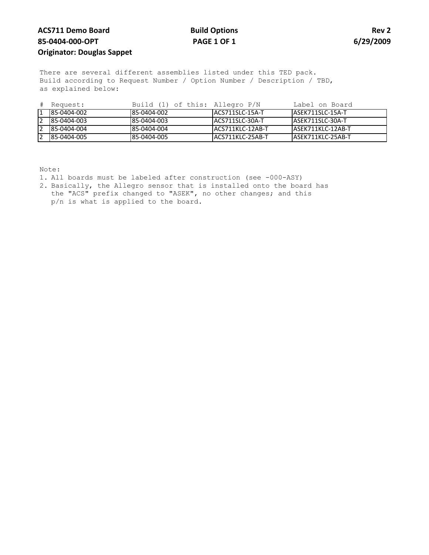# **ACS711 Demo Board 85-0404-000-OPT Originator: Douglas Sappet**

## **Build Options PAGE 1 OF 1**

**Rev 2 6/29/2009**

There are several different assemblies listed under this TED pack. Build according to Request Number / Option Number / Description / TBD, as explained below:

| # Request:  | Build (1) of this: Allegro P/N |                   | Label on Board     |
|-------------|--------------------------------|-------------------|--------------------|
| 85-0404-002 | 85-0404-002                    | LACS711SLC-15A-T  | LASEK711SLC-15A-T  |
| 85-0404-003 | 85-0404-003                    | LACS711SLC-30A-T  | LASEK711SLC-30A-T  |
| 85-0404-004 | 85-0404-004                    | IACS711KLC-12AB-T | LASEK711KLC-12AB-T |
| 85-0404-005 | 85-0404-005                    | IACS711KLC-25AB-T | IASEK711KLC-25AB-T |

Note:

- 1. All boards must be labeled after construction (see -000-ASY)
- 2. Basically, the Allegro sensor that is installed onto the board has the "ACS" prefix changed to "ASEK", no other changes; and this p/n is what is applied to the board.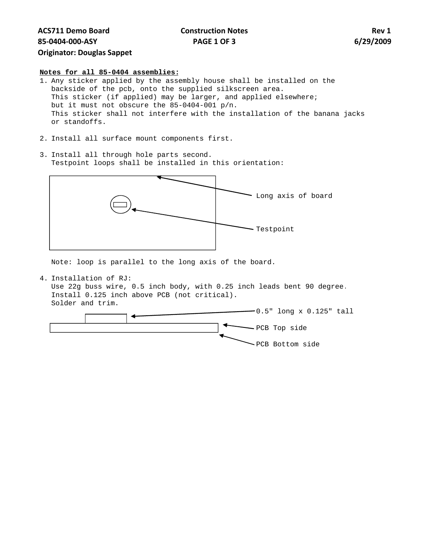**Construction Notes PAGE 1 OF 3**

#### **Notes for all 85-0404 assemblies:**

- 1. Any sticker applied by the assembly house shall be installed on the backside of the pcb, onto the supplied silkscreen area. This sticker (if applied) may be larger, and applied elsewhere; but it must not obscure the 85-0404-001 p/n. This sticker shall not interfere with the installation of the banana jacks or standoffs.
- 2. Install all surface mount components first.
- 3. Install all through hole parts second. Testpoint loops shall be installed in this orientation:



Note: loop is parallel to the long axis of the board.

4. Installation of RJ:

Use 22g buss wire, 0.5 inch body, with 0.25 inch leads bent 90 degree. Install 0.125 inch above PCB (not critical). Solder and trim.

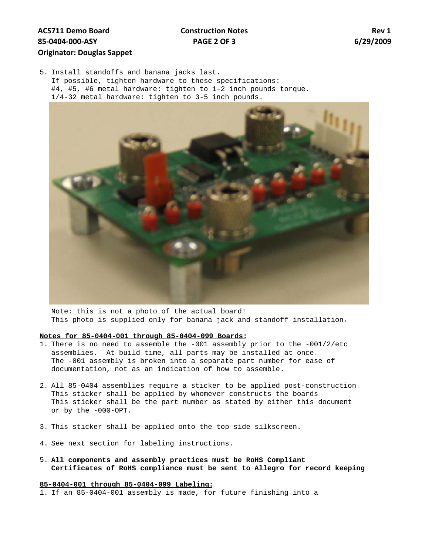# **ACS711 Demo Board 85‐0404‐000‐ASY Originator: Douglas Sappet**

# **Construction Notes PAGE 2 OF 3**

**Rev 1 6/29/2009**

5. Install standoffs and banana jacks last. If possible, tighten hardware to these specifications: #4, #5, #6 metal hardware: tighten to 1-2 inch pounds torque. 1/4-32 metal hardware: tighten to 3-5 inch pounds.



Note: this is not a photo of the actual board! This photo is supplied only for banana jack and standoff installation.

#### **Notes for 85-0404-001 through 85-0404-099 Boards:**

- 1. There is no need to assemble the -001 assembly prior to the -001/2/etc assemblies. At build time, all parts may be installed at once. The -001 assembly is broken into a separate part number for ease of documentation, not as an indication of how to assemble.
- 2. All 85-0404 assemblies require a sticker to be applied post-construction. This sticker shall be applied by whomever constructs the boards. This sticker shall be the part number as stated by either this document or by the -000-OPT.
- 3. This sticker shall be applied onto the top side silkscreen.
- 4. See next section for labeling instructions.
- 5. **All components and assembly practices must be RoHS Compliant Certificates of RoHS compliance must be sent to Allegro for record keeping**

#### **85-0404-001 through 85-0404-099 Labeling:**

1. If an 85-0404-001 assembly is made, for future finishing into a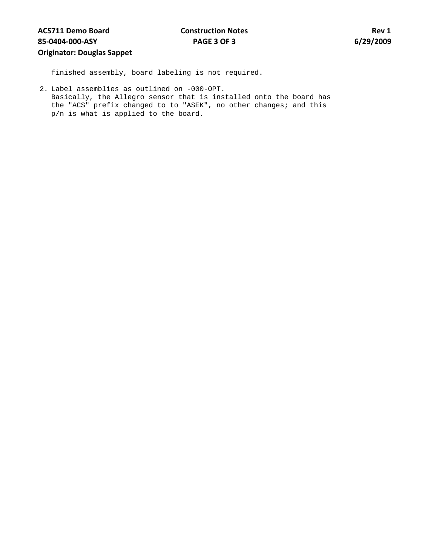finished assembly, board labeling is not required.

2. Label assemblies as outlined on -000-OPT. Basically, the Allegro sensor that is installed onto the board has the "ACS" prefix changed to to "ASEK", no other changes; and this p/n is what is applied to the board.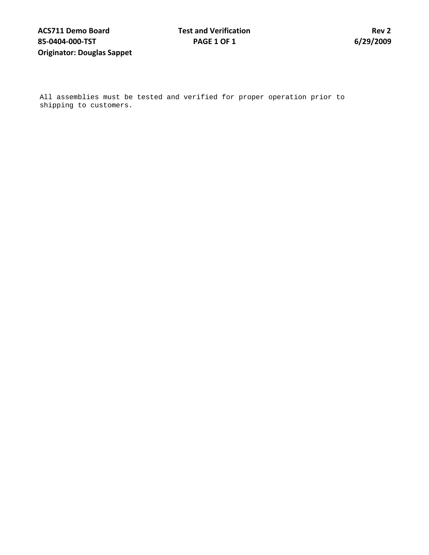All assemblies must be tested and verified for proper operation prior to shipping to customers.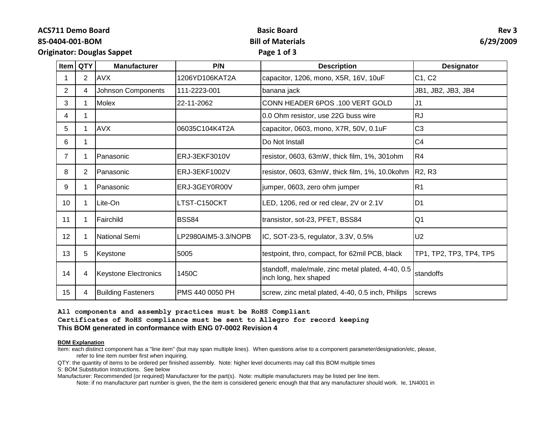**ACS711 Demo Board**

### **85-0404-001-BOM**

# **Basic Board Bill of Materials**

### **Rev 3 6/29/2009**

**Originator: Douglas Sappet**

# **Page 1 of 3**

| <b>Item</b>    | <b>QTY</b>     | <b>Manufacturer</b>         | P/N                 | <b>Description</b>                                                         | <b>Designator</b>               |
|----------------|----------------|-----------------------------|---------------------|----------------------------------------------------------------------------|---------------------------------|
| 1              | $\overline{2}$ | <b>AVX</b>                  | 1206YD106KAT2A      | capacitor, 1206, mono, X5R, 16V, 10uF                                      | C1, C2                          |
| $\overline{2}$ | 4              | Johnson Components          | 111-2223-001        | banana jack                                                                | JB1, JB2, JB3, JB4              |
| 3              |                | <b>Molex</b>                | 22-11-2062          | CONN HEADER 6POS .100 VERT GOLD                                            | J <sub>1</sub>                  |
| 4              |                |                             |                     | 0.0 Ohm resistor, use 22G buss wire                                        | <b>RJ</b>                       |
| 5.             |                | <b>AVX</b>                  | 06035C104K4T2A      | capacitor, 0603, mono, X7R, 50V, 0.1uF                                     | C <sub>3</sub>                  |
| 6              |                |                             |                     | Do Not Install                                                             | C <sub>4</sub>                  |
| $\overline{7}$ | 1              | Panasonic                   | ERJ-3EKF3010V       | resistor, 0603, 63mW, thick film, 1%, 301ohm                               | R4                              |
| 8              | 2              | l Panasonic                 | ERJ-3EKF1002V       | resistor, 0603, 63mW, thick film, 1%, 10.0kohm                             | R <sub>2</sub> , R <sub>3</sub> |
| 9              | 1              | l Panasonic                 | ERJ-3GEY0R00V       | jumper, 0603, zero ohm jumper                                              | R <sub>1</sub>                  |
| 10             |                | Lite-On                     | LTST-C150CKT        | LED, 1206, red or red clear, 2V or 2.1V                                    | D <sub>1</sub>                  |
| 11             |                | Fairchild                   | <b>BSS84</b>        | transistor, sot-23, PFET, BSS84                                            | Q <sub>1</sub>                  |
| 12             |                | <b>National Semi</b>        | LP2980AIM5-3.3/NOPB | IC, SOT-23-5, regulator, 3.3V, 0.5%                                        | U <sub>2</sub>                  |
| 13             | 5              | Keystone                    | 5005                | testpoint, thro, compact, for 62mil PCB, black                             | TP1, TP2, TP3, TP4, TP5         |
| 14             | 4              | <b>Keystone Electronics</b> | 1450C               | standoff, male/male, zinc metal plated, 4-40, 0.5<br>inch long, hex shaped | standoffs                       |
| 15             | 4              | <b>Building Fasteners</b>   | PMS 440 0050 PH     | screw, zinc metal plated, 4-40, 0.5 inch, Philips                          | screws                          |

**All components and assembly practices must be RoHS Compliant**

**Certificates of RoHS compliance must be sent to Allegro for record keeping This BOM generated in conformance with ENG 07-0002 Revision 4** 

#### **BOM Explanation**

Item: each distinct component has a "line item" (but may span multiple lines). When questions arise to a component parameter/designation/etc, please, refer to line item number first when inquiring.

QTY: the quantity of items to be ordered per finished assembly. Note: higher level documents may call this BOM multiple times

S: BOM Substitution Instructions. See below

Manufacturer: Recommended (or required) Manufacturer for the part(s). Note: multiple manufacturers may be listed per line item.

Note: if no manufacturer part number is given, the the item is considered generic enough that that any manufacturer should work. Ie, 1N4001 in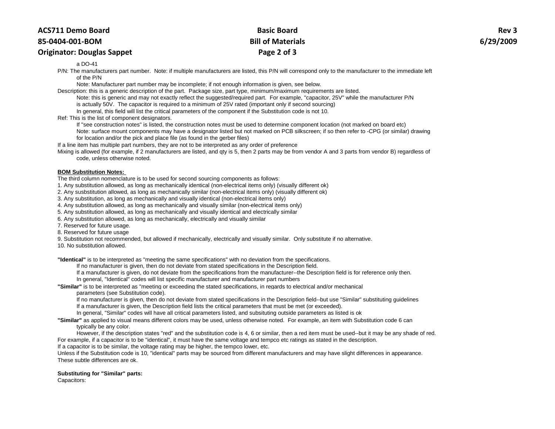#### **85-0404-001-BOM**

### **Originator: Douglas Sappet**

# **Basic Board Bill of Materials Page 2 of 3**

#### a DO-41

P/N: The manufacturers part number. Note: if multiple manufacturers are listed, this P/N will correspond only to the manufacturer to the immediate left of the P/N

Note: Manufacturer part number may be incomplete; if not enough information is given, see below.

Description: this is a generic description of the part. Package size, part type, minimum/maximum requirements are listed.

Note: this is generic and may not exactly reflect the suggested/required part. For example, "capacitor, 25V" while the manufacturer P/N

is actually 50V. The capacitor is required to a minimum of 25V rated (important only if second sourcing)

In general, this field will list the critical parameters of the component if the Substitution code is not 10.

Ref: This is the list of component designators.

If "see construction notes" is listed, the construction notes must be used to determine component location (not marked on board etc)

Note: surface mount components may have a designator listed but not marked on PCB silkscreen; if so then refer to -CPG (or similar) drawing for location and/or the pick and place file (as found in the gerber files)

If a line item has multiple part numbers, they are not to be interpreted as any order of preference

Mixing is allowed (for example, if 2 manufacturers are listed, and qty is 5, then 2 parts may be from vendor A and 3 parts from vendor B) regardless of code, unless otherwise noted.

#### **BOM Substitution Notes:**

The third column nomenclature is to be used for second sourcing components as follows:

1. Any substitution allowed, as long as mechanically identical (non-electrical items only) (visually different ok)

2. Any susbstitution allowed, as long as mechanically similar (non-electrical items only) (visually different ok)

3. Any substitution, as long as mechanically and visually identical (non-electrical items only)

4. Any substitution allowed, as long as mechanically and visually similar (non-electrical items only)

5. Any substitution allowed, as long as mechanically and visually identical and electrically similar

6. Any substitution allowed, as long as mechanically, electrically and visually similar

7. Reserved for future usage.

8. Reserved for future usage

9. Substitution not recommended, but allowed if mechanically, electrically and visually similar. Only substitute if no alternative.

10. No substitution allowed.

**"Identical"** is to be interpreted as "meeting the same specifications" with no deviation from the specifications.

If no manufacturer is given, then do not deviate from stated specifications in the Description field.

If a manufacturer is given, do not deviate from the specifications from the manufacturer--the Description field is for reference only then.

In general, "Identical" codes will list specific manufacturer and manufacturer part numbers

**"Similar"** is to be interpreted as "meeting or exceeding the stated specifications, in regards to electrical and/or mechanical

parameters (see Substitution code).

If no manufacturer is given, then do not deviate from stated specifications in the Description field--but use "Similar" substituting guidelines If a manufacturer is given, the Description field lists the critical parameters that must be met (or exceeded).

In general, "Similar" codes will have all critical parameters listed, and subsituting outside parameters as listed is ok

**"Similar"** as applied to visual means different colors may be used, unless otherwise noted. For example, an item with Substitution code 6 can typically be any color.

However, if the description states "red" and the substitution code is 4, 6 or similar, then a red item must be used--but it may be any shade of red. For example, if a capacitor is to be "identical", it must have the same voltage and tempco etc ratings as stated in the description.

If a capacitor is to be similar, the voltage rating may be higher, the tempco lower, etc.

Unless if the Substitution code is 10, "identical" parts may be sourced from different manufacturers and may have slight differences in appearance. These subtle differences are ok.

#### **Substituting for "Similar" parts:**

Capacitors: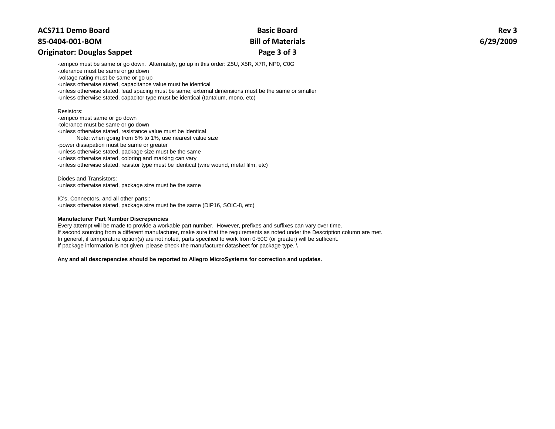### **85-0404-001-BOM**

### **Originator: Douglas Sappet**

# **Basic Board Bill of Materials Page 3 of 3**

**Rev 3 6/29/2009**

-tempco must be same or go down. Alternately, go up in this order: Z5U, X5R, X7R, NP0, C0G

-tolerance must be same or go down

-voltage rating must be same or go up

-unless otherwise stated, capacitance value must be identical

-unless otherwise stated, lead spacing must be same; external dimensions must be the same or smaller

-unless otherwise stated, capacitor type must be identical (tantalum, mono, etc)

#### Resistors:

-tempco must same or go down -tolerance must be same or go down -unless otherwise stated, resistance value must be identical Note: when going from 5% to 1%, use nearest value size -power dissapation must be same or greater -unless otherwise stated, package size must be the same -unless otherwise stated, coloring and marking can vary -unless otherwise stated, resistor type must be identical (wire wound, metal film, etc)

Diodes and Transistors: -unless otherwise stated, package size must be the same

IC's, Connectors, and all other parts:: -unless otherwise stated, package size must be the same (DIP16, SOIC-8, etc)

#### **Manufacturer Part Number Discrepencies**

Every attempt will be made to provide a workable part number. However, prefixes and suffixes can vary over time. If second sourcing from a different manufacturer, make sure that the requirements as noted under the Description column are met. In general, if temperature option(s) are not noted, parts specified to work from 0-50C (or greater) will be sufficent. If package information is not given, please check the manufacturer datasheet for package type. \

**Any and all descrepencies should be reported to Allegro MicroSystems for correction and updates.**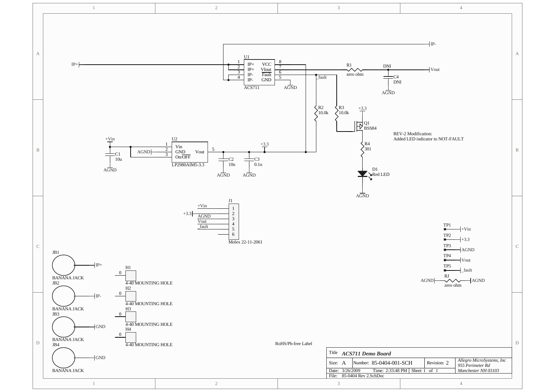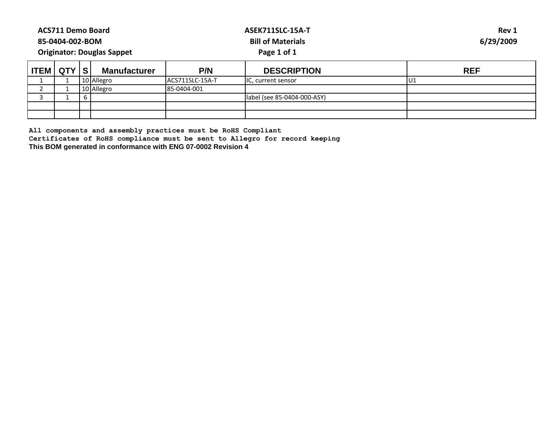| <b>ACS711 Demo Board</b><br>85-0404-002-BOM<br><b>Originator: Douglas Sappet</b> |  |  |                     |                  | <b>ASEK711SLC-15A-T</b><br><b>Bill of Materials</b><br>Page 1 of 1 | Rev 1<br>6/29/2009 |  |  |
|----------------------------------------------------------------------------------|--|--|---------------------|------------------|--------------------------------------------------------------------|--------------------|--|--|
| TEM QTY S                                                                        |  |  | <b>Manufacturer</b> | P/N              | <b>DESCRIPTION</b>                                                 | <b>REF</b>         |  |  |
|                                                                                  |  |  | 10 Allegro          | IACS711SLC-15A-T | IC, current sensor                                                 | U1                 |  |  |
|                                                                                  |  |  | 10 Allegro          | 85-0404-001      |                                                                    |                    |  |  |
|                                                                                  |  |  |                     |                  | label (see 85-0404-000-ASY)                                        |                    |  |  |
|                                                                                  |  |  |                     |                  |                                                                    |                    |  |  |
|                                                                                  |  |  |                     |                  |                                                                    |                    |  |  |

**Certificates of RoHS compliance must be sent to Allegro for record keeping**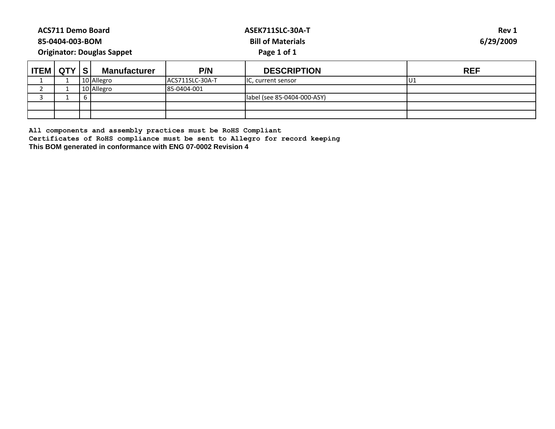| <b>ACS711 Demo Board</b><br>85-0404-003-BOM<br><b>Originator: Douglas Sappet</b> |  |  |                     |                 | ASEK711SLC-30A-T<br><b>Bill of Materials</b><br>Page 1 of 1 | Rev 1<br>6/29/2009 |  |  |
|----------------------------------------------------------------------------------|--|--|---------------------|-----------------|-------------------------------------------------------------|--------------------|--|--|
| ່ ITEM   QTY   S                                                                 |  |  | <b>Manufacturer</b> | P/N             | <b>DESCRIPTION</b>                                          | <b>REF</b>         |  |  |
|                                                                                  |  |  | 10 Allegro          | ACS711SLC-30A-T | IC, current sensor                                          | U1                 |  |  |
|                                                                                  |  |  | 10 Allegro          | 85-0404-001     |                                                             |                    |  |  |
|                                                                                  |  |  |                     |                 | label (see 85-0404-000-ASY)                                 |                    |  |  |
|                                                                                  |  |  |                     |                 |                                                             |                    |  |  |
|                                                                                  |  |  |                     |                 |                                                             |                    |  |  |

**Certificates of RoHS compliance must be sent to Allegro for record keeping**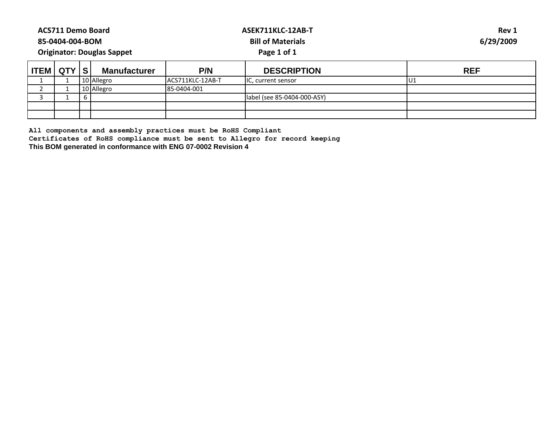| <b>ACS711 Demo Board</b><br>85-0404-004-BOM<br><b>Originator: Douglas Sappet</b> |  |   |                     |                   | ASEK711KLC-12AB-T<br><b>Bill of Materials</b><br>Page 1 of 1 | Rev 1<br>6/29/2009 |
|----------------------------------------------------------------------------------|--|---|---------------------|-------------------|--------------------------------------------------------------|--------------------|
| <b>ITEM   QTY   S </b>                                                           |  |   | <b>Manufacturer</b> | P/N               | <b>DESCRIPTION</b>                                           | <b>REF</b>         |
|                                                                                  |  |   | 10 Allegro          | IACS711KLC-12AB-T | IC, current sensor                                           | IU1                |
| n.                                                                               |  |   | 10 Allegro          | 85-0404-001       |                                                              |                    |
|                                                                                  |  | b |                     |                   | label (see 85-0404-000-ASY)                                  |                    |
|                                                                                  |  |   |                     |                   |                                                              |                    |
|                                                                                  |  |   |                     |                   |                                                              |                    |

**Certificates of RoHS compliance must be sent to Allegro for record keeping**